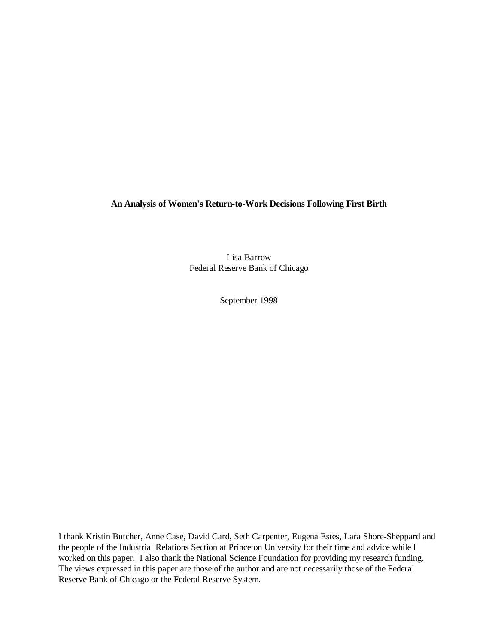**An Analysis of Women's Return-to-Work Decisions Following First Birth**

Lisa Barrow Federal Reserve Bank of Chicago

September 1998

I thank Kristin Butcher, Anne Case, David Card, Seth Carpenter, Eugena Estes, Lara Shore-Sheppard and the people of the Industrial Relations Section at Princeton University for their time and advice while I worked on this paper. I also thank the National Science Foundation for providing my research funding. The views expressed in this paper are those of the author and are not necessarily those of the Federal Reserve Bank of Chicago or the Federal Reserve System.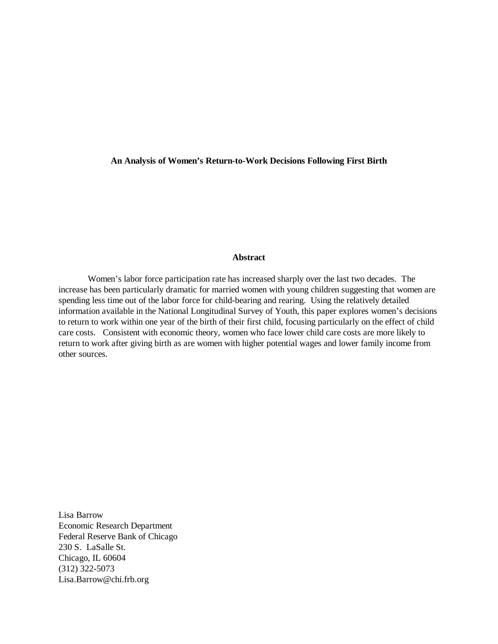# **An Analysis of Women's Return-to-Work Decisions Following First Birth**

#### **Abstract**

Women's labor force participation rate has increased sharply over the last two decades. The increase has been particularly dramatic for married women with young children suggesting that women are spending less time out of the labor force for child-bearing and rearing. Using the relatively detailed information available in the National Longitudinal Survey of Youth, this paper explores women's decisions to return to work within one year of the birth of their first child, focusing particularly on the effect of child care costs. Consistent with economic theory, women who face lower child care costs are more likely to return to work after giving birth as are women with higher potential wages and lower family income from other sources.

Lisa Barrow Economic Research Department Federal Reserve Bank of Chicago 230 S. LaSalle St. Chicago, IL 60604 (312) 322-5073 Lisa.Barrow@chi.frb.org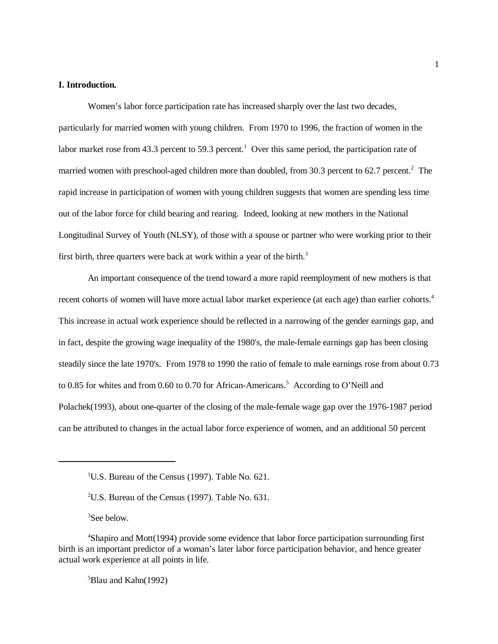# **I. Introduction.**

Women's labor force participation rate has increased sharply over the last two decades, particularly for married women with young children. From 1970 to 1996, the fraction of women in the labor market rose from 43.3 percent to 59.3 percent.<sup>1</sup> Over this same period, the participation rate of married women with preschool-aged children more than doubled, from 30.3 percent to 62.7 percent. $2$  The rapid increase in participation of women with young children suggests that women are spending less time out of the labor force for child bearing and rearing. Indeed, looking at new mothers in the National Longitudinal Survey of Youth (NLSY), of those with a spouse or partner who were working prior to their first birth, three quarters were back at work within a year of the birth.<sup>3</sup>

An important consequence of the trend toward a more rapid reemployment of new mothers is that recent cohorts of women will have more actual labor market experience (at each age) than earlier cohorts.<sup>4</sup> This increase in actual work experience should be reflected in a narrowing of the gender earnings gap, and in fact, despite the growing wage inequality of the 1980's, the male-female earnings gap has been closing steadily since the late 1970's. From 1978 to 1990 the ratio of female to male earnings rose from about 0.73 to 0.85 for whites and from 0.60 to 0.70 for African-Americans.<sup>5</sup> According to O'Neill and Polachek(1993), about one-quarter of the closing of the male-female wage gap over the 1976-1987 period can be attributed to changes in the actual labor force experience of women, and an additional 50 percent

 ${}^{5}$ Blau and Kahn(1992)

<sup>&</sup>lt;sup>1</sup>U.S. Bureau of the Census (1997). Table No. 621.

<sup>&</sup>lt;sup>2</sup>U.S. Bureau of the Census (1997). Table No.  $631$ .

 ${}^{3}$ See below.

<sup>&</sup>lt;sup>4</sup>Shapiro and Mott(1994) provide some evidence that labor force participation surrounding first birth is an important predictor of a woman's later labor force participation behavior, and hence greater actual work experience at all points in life.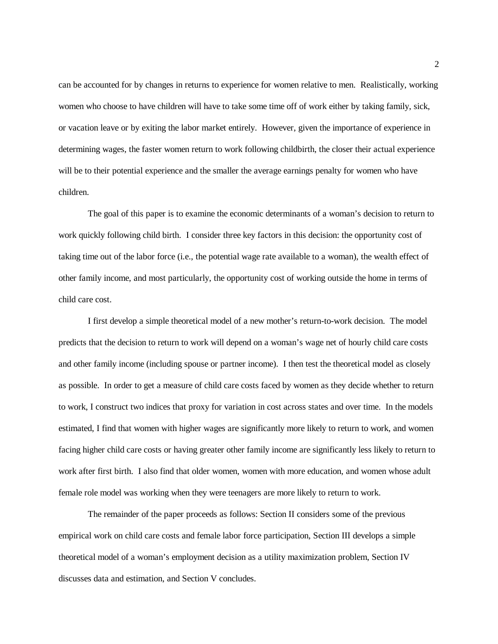can be accounted for by changes in returns to experience for women relative to men. Realistically, working women who choose to have children will have to take some time off of work either by taking family, sick, or vacation leave or by exiting the labor market entirely. However, given the importance of experience in determining wages, the faster women return to work following childbirth, the closer their actual experience will be to their potential experience and the smaller the average earnings penalty for women who have children.

The goal of this paper is to examine the economic determinants of a woman's decision to return to work quickly following child birth. I consider three key factors in this decision: the opportunity cost of taking time out of the labor force (i.e., the potential wage rate available to a woman), the wealth effect of other family income, and most particularly, the opportunity cost of working outside the home in terms of child care cost.

I first develop a simple theoretical model of a new mother's return-to-work decision. The model predicts that the decision to return to work will depend on a woman's wage net of hourly child care costs and other family income (including spouse or partner income). I then test the theoretical model as closely as possible. In order to get a measure of child care costs faced by women as they decide whether to return to work, I construct two indices that proxy for variation in cost across states and over time. In the models estimated, I find that women with higher wages are significantly more likely to return to work, and women facing higher child care costs or having greater other family income are significantly less likely to return to work after first birth. I also find that older women, women with more education, and women whose adult female role model was working when they were teenagers are more likely to return to work.

The remainder of the paper proceeds as follows: Section II considers some of the previous empirical work on child care costs and female labor force participation, Section III develops a simple theoretical model of a woman's employment decision as a utility maximization problem, Section IV discusses data and estimation, and Section V concludes.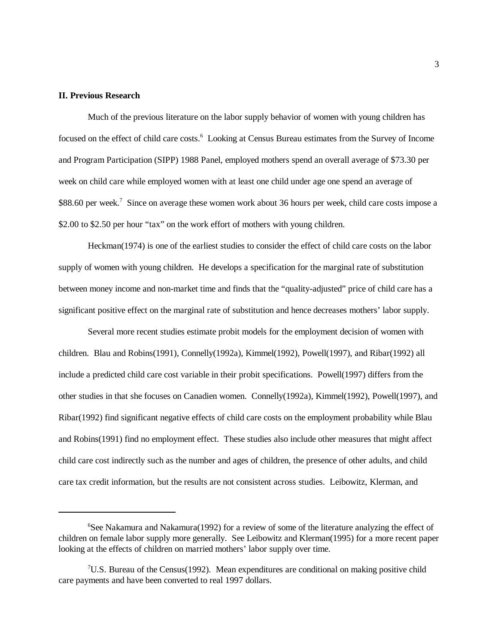# **II. Previous Research**

Much of the previous literature on the labor supply behavior of women with young children has focused on the effect of child care costs.<sup>6</sup> Looking at Census Bureau estimates from the Survey of Income and Program Participation (SIPP) 1988 Panel, employed mothers spend an overall average of \$73.30 per week on child care while employed women with at least one child under age one spend an average of \$88.60 per week.<sup>7</sup> Since on average these women work about 36 hours per week, child care costs impose a \$2.00 to \$2.50 per hour "tax" on the work effort of mothers with young children.

Heckman(1974) is one of the earliest studies to consider the effect of child care costs on the labor supply of women with young children. He develops a specification for the marginal rate of substitution between money income and non-market time and finds that the "quality-adjusted" price of child care has a significant positive effect on the marginal rate of substitution and hence decreases mothers' labor supply.

Several more recent studies estimate probit models for the employment decision of women with children. Blau and Robins(1991), Connelly(1992a), Kimmel(1992), Powell(1997), and Ribar(1992) all include a predicted child care cost variable in their probit specifications. Powell(1997) differs from the other studies in that she focuses on Canadien women. Connelly(1992a), Kimmel(1992), Powell(1997), and Ribar(1992) find significant negative effects of child care costs on the employment probability while Blau and Robins(1991) find no employment effect. These studies also include other measures that might affect child care cost indirectly such as the number and ages of children, the presence of other adults, and child care tax credit information, but the results are not consistent across studies. Leibowitz, Klerman, and

 ${}^{6}$ See Nakamura and Nakamura(1992) for a review of some of the literature analyzing the effect of children on female labor supply more generally. See Leibowitz and Klerman(1995) for a more recent paper looking at the effects of children on married mothers' labor supply over time.

<sup>&</sup>lt;sup>7</sup>U.S. Bureau of the Census (1992). Mean expenditures are conditional on making positive child care payments and have been converted to real 1997 dollars.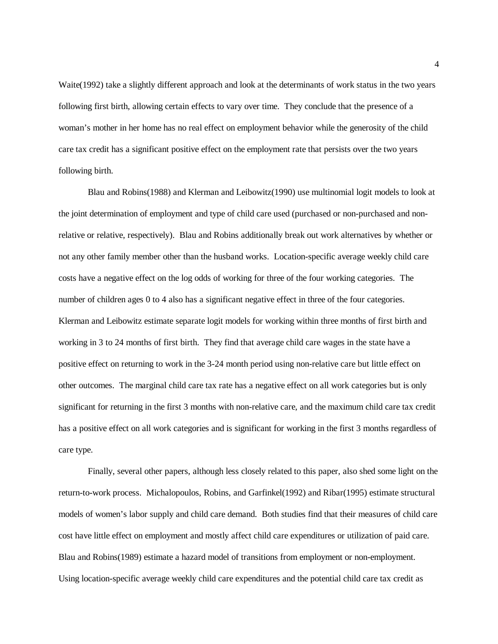Waite(1992) take a slightly different approach and look at the determinants of work status in the two years following first birth, allowing certain effects to vary over time. They conclude that the presence of a woman's mother in her home has no real effect on employment behavior while the generosity of the child care tax credit has a significant positive effect on the employment rate that persists over the two years following birth.

Blau and Robins(1988) and Klerman and Leibowitz(1990) use multinomial logit models to look at the joint determination of employment and type of child care used (purchased or non-purchased and nonrelative or relative, respectively). Blau and Robins additionally break out work alternatives by whether or not any other family member other than the husband works. Location-specific average weekly child care costs have a negative effect on the log odds of working for three of the four working categories. The number of children ages 0 to 4 also has a significant negative effect in three of the four categories. Klerman and Leibowitz estimate separate logit models for working within three months of first birth and working in 3 to 24 months of first birth. They find that average child care wages in the state have a positive effect on returning to work in the 3-24 month period using non-relative care but little effect on other outcomes. The marginal child care tax rate has a negative effect on all work categories but is only significant for returning in the first 3 months with non-relative care, and the maximum child care tax credit has a positive effect on all work categories and is significant for working in the first 3 months regardless of care type.

Finally, several other papers, although less closely related to this paper, also shed some light on the return-to-work process. Michalopoulos, Robins, and Garfinkel(1992) and Ribar(1995) estimate structural models of women's labor supply and child care demand. Both studies find that their measures of child care cost have little effect on employment and mostly affect child care expenditures or utilization of paid care. Blau and Robins(1989) estimate a hazard model of transitions from employment or non-employment. Using location-specific average weekly child care expenditures and the potential child care tax credit as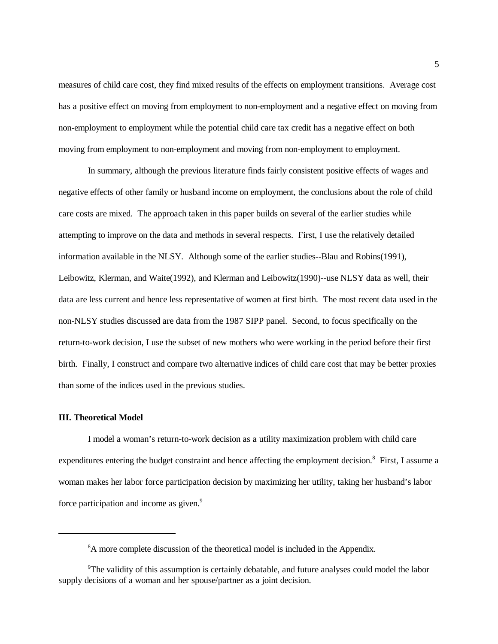measures of child care cost, they find mixed results of the effects on employment transitions. Average cost has a positive effect on moving from employment to non-employment and a negative effect on moving from non-employment to employment while the potential child care tax credit has a negative effect on both moving from employment to non-employment and moving from non-employment to employment.

In summary, although the previous literature finds fairly consistent positive effects of wages and negative effects of other family or husband income on employment, the conclusions about the role of child care costs are mixed. The approach taken in this paper builds on several of the earlier studies while attempting to improve on the data and methods in several respects. First, I use the relatively detailed information available in the NLSY. Although some of the earlier studies--Blau and Robins(1991), Leibowitz, Klerman, and Waite(1992), and Klerman and Leibowitz(1990)--use NLSY data as well, their data are less current and hence less representative of women at first birth. The most recent data used in the non-NLSY studies discussed are data from the 1987 SIPP panel. Second, to focus specifically on the return-to-work decision, I use the subset of new mothers who were working in the period before their first birth. Finally, I construct and compare two alternative indices of child care cost that may be better proxies than some of the indices used in the previous studies.

### **III. Theoretical Model**

I model a woman's return-to-work decision as a utility maximization problem with child care expenditures entering the budget constraint and hence affecting the employment decision.<sup>8</sup> First, I assume a woman makes her labor force participation decision by maximizing her utility, taking her husband's labor force participation and income as given.<sup>9</sup>

<sup>&</sup>lt;sup>8</sup>A more complete discussion of the theoretical model is included in the Appendix.

 $\rm{P}$ The validity of this assumption is certainly debatable, and future analyses could model the labor supply decisions of a woman and her spouse/partner as a joint decision.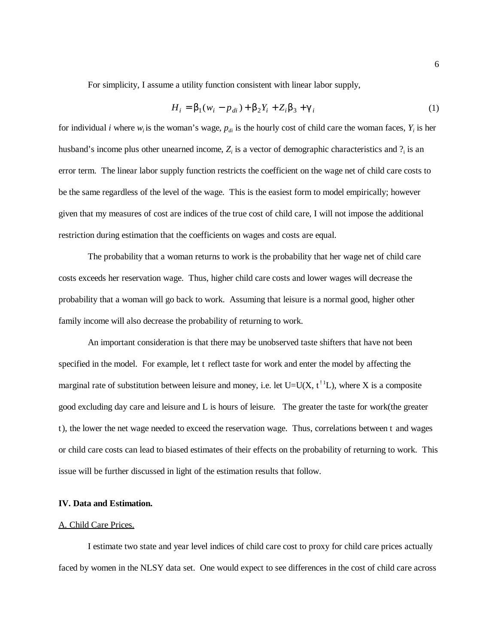For simplicity, I assume a utility function consistent with linear labor supply,

$$
H_i = \mathbf{b}_1 (w_i - p_{di}) + \mathbf{b}_2 Y_i + Z_i \mathbf{b}_3 + \mathbf{g}_i
$$
 (1)

for individual *i* where  $w_i$  is the woman's wage,  $p_{di}$  is the hourly cost of child care the woman faces,  $Y_i$  is her husband's income plus other unearned income,  $Z_i$  is a vector of demographic characteristics and  $?$  is an error term. The linear labor supply function restricts the coefficient on the wage net of child care costs to be the same regardless of the level of the wage. This is the easiest form to model empirically; however given that my measures of cost are indices of the true cost of child care, I will not impose the additional restriction during estimation that the coefficients on wages and costs are equal.

The probability that a woman returns to work is the probability that her wage net of child care costs exceeds her reservation wage. Thus, higher child care costs and lower wages will decrease the probability that a woman will go back to work. Assuming that leisure is a normal good, higher other family income will also decrease the probability of returning to work.

An important consideration is that there may be unobserved taste shifters that have not been specified in the model. For example, let t reflect taste for work and enter the model by affecting the marginal rate of substitution between leisure and money, i.e. let  $U=U(X, t^{\perp 1}L)$ , where X is a composite good excluding day care and leisure and L is hours of leisure. The greater the taste for work(the greater t), the lower the net wage needed to exceed the reservation wage. Thus, correlations between t and wages or child care costs can lead to biased estimates of their effects on the probability of returning to work. This issue will be further discussed in light of the estimation results that follow.

#### **IV. Data and Estimation.**

#### A. Child Care Prices.

I estimate two state and year level indices of child care cost to proxy for child care prices actually faced by women in the NLSY data set. One would expect to see differences in the cost of child care across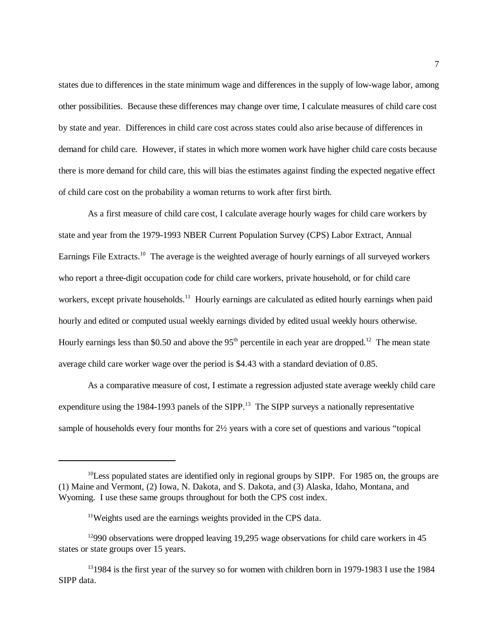states due to differences in the state minimum wage and differences in the supply of low-wage labor, among other possibilities. Because these differences may change over time, I calculate measures of child care cost by state and year. Differences in child care cost across states could also arise because of differences in demand for child care. However, if states in which more women work have higher child care costs because there is more demand for child care, this will bias the estimates against finding the expected negative effect of child care cost on the probability a woman returns to work after first birth.

As a first measure of child care cost, I calculate average hourly wages for child care workers by state and year from the 1979-1993 NBER Current Population Survey (CPS) Labor Extract, Annual Earnings File Extracts.<sup>10</sup> The average is the weighted average of hourly earnings of all surveyed workers who report a three-digit occupation code for child care workers, private household, or for child care workers, except private households.<sup>11</sup> Hourly earnings are calculated as edited hourly earnings when paid hourly and edited or computed usual weekly earnings divided by edited usual weekly hours otherwise. Hourly earnings less than \$0.50 and above the  $95<sup>th</sup>$  percentile in each year are dropped.<sup>12</sup> The mean state average child care worker wage over the period is \$4.43 with a standard deviation of 0.85.

As a comparative measure of cost, I estimate a regression adjusted state average weekly child care expenditure using the 1984-1993 panels of the SIPP.<sup>13</sup> The SIPP surveys a nationally representative sample of households every four months for 2½ years with a core set of questions and various "topical

 $^{10}$ Less populated states are identified only in regional groups by SIPP. For 1985 on, the groups are (1) Maine and Vermont, (2) Iowa, N. Dakota, and S. Dakota, and (3) Alaska, Idaho, Montana, and Wyoming. I use these same groups throughout for both the CPS cost index.

 $11$ Weights used are the earnings weights provided in the CPS data.

 $12990$  observations were dropped leaving 19,295 wage observations for child care workers in 45 states or state groups over 15 years.

 $131984$  is the first year of the survey so for women with children born in 1979-1983 I use the 1984 SIPP data.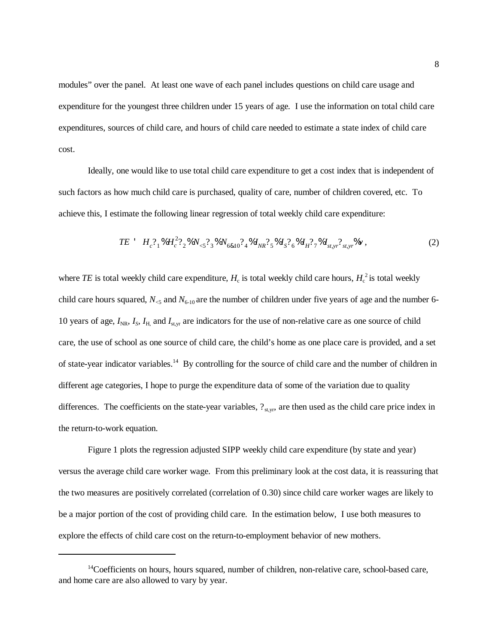modules" over the panel. At least one wave of each panel includes questions on child care usage and expenditure for the youngest three children under 15 years of age. I use the information on total child care expenditures, sources of child care, and hours of child care needed to estimate a state index of child care cost.

Ideally, one would like to use total child care expenditure to get a cost index that is independent of such factors as how much child care is purchased, quality of care, number of children covered, etc. To achieve this, I estimate the following linear regression of total weekly child care expenditure:

$$
TE \tH_c^2{}_{1}^8 H_c^2{}_{2}^2\%N_{\leq}^2{}_{3}^8 N_{6&10}^2{}_{4}^8 I_{NR}^2{}_{5}^8 I_{S}^2{}_{6}^8 I_{H}^2{}_{7}^8 I_{s,rr}^2{}_{s,rr}^8\%V \t{,} \t(2)
$$

where *TE* is total weekly child care expenditure,  $H_c$  is total weekly child care hours,  $H_c^2$  is total weekly child care hours squared,  $N_{\leq 5}$  and  $N_{\leq 10}$  are the number of children under five years of age and the number 6-10 years of age,  $I_{NR}$ ,  $I_S$ ,  $I_H$ , and  $I_{st,yr}$  are indicators for the use of non-relative care as one source of child care, the use of school as one source of child care, the child's home as one place care is provided, and a set of state-year indicator variables.<sup>14</sup> By controlling for the source of child care and the number of children in different age categories, I hope to purge the expenditure data of some of the variation due to quality differences. The coefficients on the state-year variables,  $?_{\text{st,yr}}$ , are then used as the child care price index in the return-to-work equation.

Figure 1 plots the regression adjusted SIPP weekly child care expenditure (by state and year) versus the average child care worker wage. From this preliminary look at the cost data, it is reassuring that the two measures are positively correlated (correlation of 0.30) since child care worker wages are likely to be a major portion of the cost of providing child care. In the estimation below, I use both measures to explore the effects of child care cost on the return-to-employment behavior of new mothers.

 $14$ Coefficients on hours, hours squared, number of children, non-relative care, school-based care, and home care are also allowed to vary by year.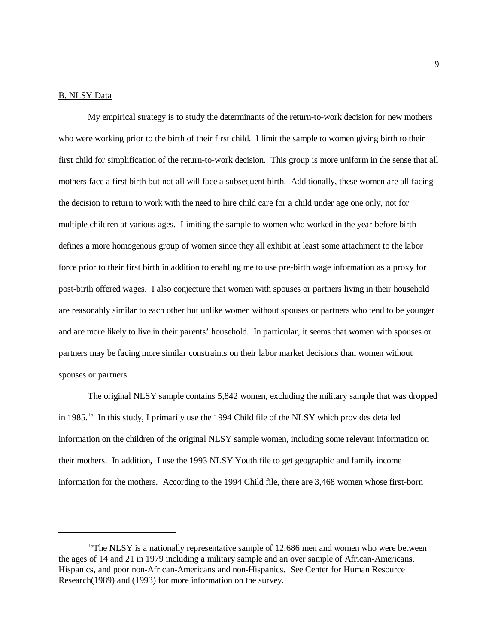#### B. NLSY Data

My empirical strategy is to study the determinants of the return-to-work decision for new mothers who were working prior to the birth of their first child. I limit the sample to women giving birth to their first child for simplification of the return-to-work decision. This group is more uniform in the sense that all mothers face a first birth but not all will face a subsequent birth. Additionally, these women are all facing the decision to return to work with the need to hire child care for a child under age one only, not for multiple children at various ages. Limiting the sample to women who worked in the year before birth defines a more homogenous group of women since they all exhibit at least some attachment to the labor force prior to their first birth in addition to enabling me to use pre-birth wage information as a proxy for post-birth offered wages. I also conjecture that women with spouses or partners living in their household are reasonably similar to each other but unlike women without spouses or partners who tend to be younger and are more likely to live in their parents' household. In particular, it seems that women with spouses or partners may be facing more similar constraints on their labor market decisions than women without spouses or partners.

The original NLSY sample contains 5,842 women, excluding the military sample that was dropped in 1985.<sup>15</sup> In this study, I primarily use the 1994 Child file of the NLSY which provides detailed information on the children of the original NLSY sample women, including some relevant information on their mothers. In addition, I use the 1993 NLSY Youth file to get geographic and family income information for the mothers. According to the 1994 Child file, there are 3,468 women whose first-born

<sup>&</sup>lt;sup>15</sup>The NLSY is a nationally representative sample of 12,686 men and women who were between the ages of 14 and 21 in 1979 including a military sample and an over sample of African-Americans, Hispanics, and poor non-African-Americans and non-Hispanics. See Center for Human Resource Research(1989) and (1993) for more information on the survey.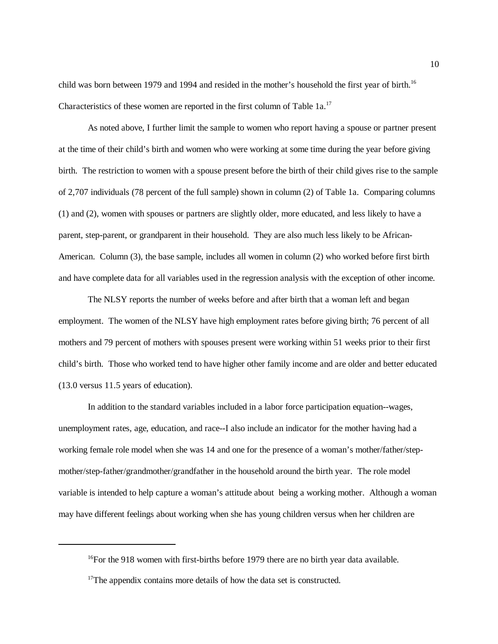child was born between 1979 and 1994 and resided in the mother's household the first year of birth.<sup>16</sup> Characteristics of these women are reported in the first column of Table 1a.<sup>17</sup>

As noted above, I further limit the sample to women who report having a spouse or partner present at the time of their child's birth and women who were working at some time during the year before giving birth. The restriction to women with a spouse present before the birth of their child gives rise to the sample of 2,707 individuals (78 percent of the full sample) shown in column (2) of Table 1a. Comparing columns (1) and (2), women with spouses or partners are slightly older, more educated, and less likely to have a parent, step-parent, or grandparent in their household. They are also much less likely to be African-American. Column (3), the base sample, includes all women in column (2) who worked before first birth and have complete data for all variables used in the regression analysis with the exception of other income.

The NLSY reports the number of weeks before and after birth that a woman left and began employment. The women of the NLSY have high employment rates before giving birth; 76 percent of all mothers and 79 percent of mothers with spouses present were working within 51 weeks prior to their first child's birth. Those who worked tend to have higher other family income and are older and better educated (13.0 versus 11.5 years of education).

In addition to the standard variables included in a labor force participation equation--wages, unemployment rates, age, education, and race--I also include an indicator for the mother having had a working female role model when she was 14 and one for the presence of a woman's mother/father/stepmother/step-father/grandmother/grandfather in the household around the birth year. The role model variable is intended to help capture a woman's attitude about being a working mother. Although a woman may have different feelings about working when she has young children versus when her children are

 $^{16}$ For the 918 women with first-births before 1979 there are no birth year data available.

 $17$ The appendix contains more details of how the data set is constructed.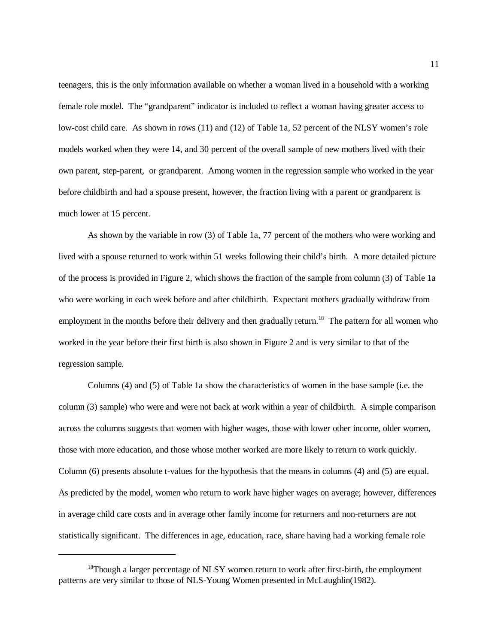teenagers, this is the only information available on whether a woman lived in a household with a working female role model. The "grandparent" indicator is included to reflect a woman having greater access to low-cost child care. As shown in rows (11) and (12) of Table 1a, 52 percent of the NLSY women's role models worked when they were 14, and 30 percent of the overall sample of new mothers lived with their own parent, step-parent, or grandparent. Among women in the regression sample who worked in the year before childbirth and had a spouse present, however, the fraction living with a parent or grandparent is much lower at 15 percent.

As shown by the variable in row (3) of Table 1a, 77 percent of the mothers who were working and lived with a spouse returned to work within 51 weeks following their child's birth. A more detailed picture of the process is provided in Figure 2, which shows the fraction of the sample from column (3) of Table 1a who were working in each week before and after childbirth. Expectant mothers gradually withdraw from employment in the months before their delivery and then gradually return.<sup>18</sup> The pattern for all women who worked in the year before their first birth is also shown in Figure 2 and is very similar to that of the regression sample.

Columns (4) and (5) of Table 1a show the characteristics of women in the base sample (i.e. the column (3) sample) who were and were not back at work within a year of childbirth. A simple comparison across the columns suggests that women with higher wages, those with lower other income, older women, those with more education, and those whose mother worked are more likely to return to work quickly. Column (6) presents absolute t-values for the hypothesis that the means in columns (4) and (5) are equal. As predicted by the model, women who return to work have higher wages on average; however, differences in average child care costs and in average other family income for returners and non-returners are not statistically significant. The differences in age, education, race, share having had a working female role

<sup>&</sup>lt;sup>18</sup>Though a larger percentage of NLSY women return to work after first-birth, the employment patterns are very similar to those of NLS-Young Women presented in McLaughlin(1982).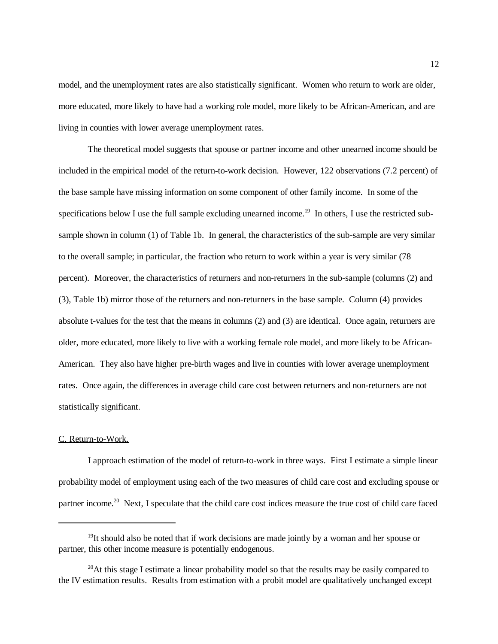model, and the unemployment rates are also statistically significant. Women who return to work are older, more educated, more likely to have had a working role model, more likely to be African-American, and are living in counties with lower average unemployment rates.

The theoretical model suggests that spouse or partner income and other unearned income should be included in the empirical model of the return-to-work decision. However, 122 observations (7.2 percent) of the base sample have missing information on some component of other family income. In some of the specifications below I use the full sample excluding unearned income.<sup>19</sup> In others, I use the restricted subsample shown in column (1) of Table 1b. In general, the characteristics of the sub-sample are very similar to the overall sample; in particular, the fraction who return to work within a year is very similar (78 percent). Moreover, the characteristics of returners and non-returners in the sub-sample (columns (2) and (3), Table 1b) mirror those of the returners and non-returners in the base sample. Column (4) provides absolute t-values for the test that the means in columns (2) and (3) are identical. Once again, returners are older, more educated, more likely to live with a working female role model, and more likely to be African-American. They also have higher pre-birth wages and live in counties with lower average unemployment rates. Once again, the differences in average child care cost between returners and non-returners are not statistically significant.

#### C. Return-to-Work.

I approach estimation of the model of return-to-work in three ways. First I estimate a simple linear probability model of employment using each of the two measures of child care cost and excluding spouse or partner income.<sup>20</sup> Next, I speculate that the child care cost indices measure the true cost of child care faced

 $<sup>19</sup>$ It should also be noted that if work decisions are made jointly by a woman and her spouse or</sup> partner, this other income measure is potentially endogenous.

<sup>&</sup>lt;sup>20</sup>At this stage I estimate a linear probability model so that the results may be easily compared to the IV estimation results. Results from estimation with a probit model are qualitatively unchanged except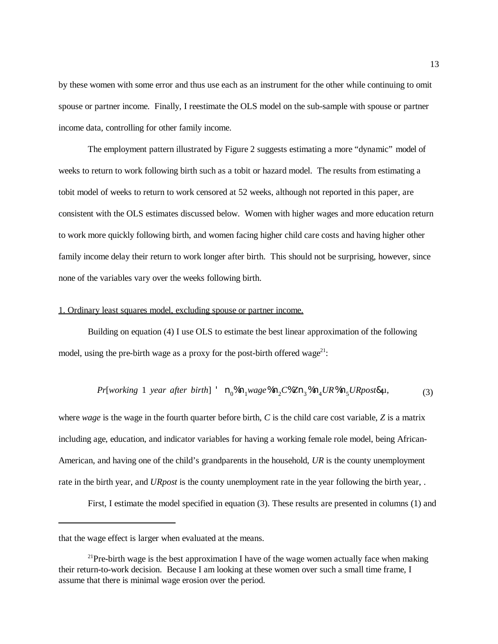by these women with some error and thus use each as an instrument for the other while continuing to omit spouse or partner income. Finally, I reestimate the OLS model on the sub-sample with spouse or partner income data, controlling for other family income.

The employment pattern illustrated by Figure 2 suggests estimating a more "dynamic" model of weeks to return to work following birth such as a tobit or hazard model. The results from estimating a tobit model of weeks to return to work censored at 52 weeks, although not reported in this paper, are consistent with the OLS estimates discussed below. Women with higher wages and more education return to work more quickly following birth, and women facing higher child care costs and having higher other family income delay their return to work longer after birth. This should not be surprising, however, since none of the variables vary over the weeks following birth.

# 1. Ordinary least squares model, excluding spouse or partner income.

Building on equation (4) I use OLS to estimate the best linear approximation of the following model, using the pre-birth wage as a proxy for the post-birth offered wage<sup>21</sup>:

$$
Pr[working 1 year after birth] \cdot n_0\%n_1wage\%n_2C\%Zn_3\%n_4UR\%n_5URpost\%µ, \tag{3}
$$

where *wage* is the wage in the fourth quarter before birth, *C* is the child care cost variable, *Z* is a matrix including age, education, and indicator variables for having a working female role model, being African-American, and having one of the child's grandparents in the household, *UR* is the county unemployment rate in the birth year, and *URpost* is the county unemployment rate in the year following the birth year, .

First, I estimate the model specified in equation (3). These results are presented in columns (1) and

that the wage effect is larger when evaluated at the means.

 $^{21}$ Pre-birth wage is the best approximation I have of the wage women actually face when making their return-to-work decision. Because I am looking at these women over such a small time frame, I assume that there is minimal wage erosion over the period.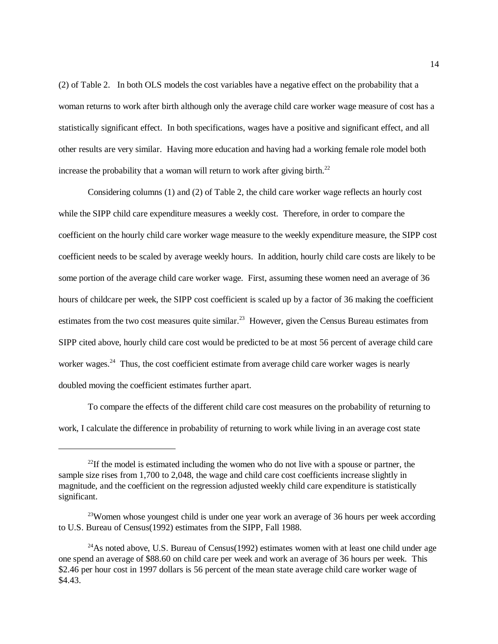(2) of Table 2. In both OLS models the cost variables have a negative effect on the probability that a woman returns to work after birth although only the average child care worker wage measure of cost has a statistically significant effect. In both specifications, wages have a positive and significant effect, and all other results are very similar. Having more education and having had a working female role model both increase the probability that a woman will return to work after giving birth.<sup>22</sup>

Considering columns (1) and (2) of Table 2, the child care worker wage reflects an hourly cost while the SIPP child care expenditure measures a weekly cost. Therefore, in order to compare the coefficient on the hourly child care worker wage measure to the weekly expenditure measure, the SIPP cost coefficient needs to be scaled by average weekly hours. In addition, hourly child care costs are likely to be some portion of the average child care worker wage. First, assuming these women need an average of 36 hours of childcare per week, the SIPP cost coefficient is scaled up by a factor of 36 making the coefficient estimates from the two cost measures quite similar.<sup>23</sup> However, given the Census Bureau estimates from SIPP cited above, hourly child care cost would be predicted to be at most 56 percent of average child care worker wages.<sup>24</sup> Thus, the cost coefficient estimate from average child care worker wages is nearly doubled moving the coefficient estimates further apart.

To compare the effects of the different child care cost measures on the probability of returning to work, I calculate the difference in probability of returning to work while living in an average cost state

 $22$ If the model is estimated including the women who do not live with a spouse or partner, the sample size rises from 1,700 to 2,048, the wage and child care cost coefficients increase slightly in magnitude, and the coefficient on the regression adjusted weekly child care expenditure is statistically significant.

<sup>&</sup>lt;sup>23</sup>Women whose youngest child is under one year work an average of 36 hours per week according to U.S. Bureau of Census(1992) estimates from the SIPP, Fall 1988.

 $^{24}$ As noted above, U.S. Bureau of Census(1992) estimates women with at least one child under age one spend an average of \$88.60 on child care per week and work an average of 36 hours per week. This \$2.46 per hour cost in 1997 dollars is 56 percent of the mean state average child care worker wage of \$4.43.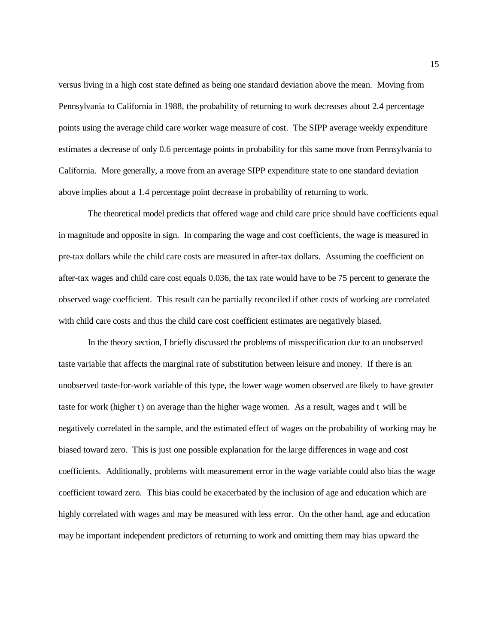versus living in a high cost state defined as being one standard deviation above the mean. Moving from Pennsylvania to California in 1988, the probability of returning to work decreases about 2.4 percentage points using the average child care worker wage measure of cost. The SIPP average weekly expenditure estimates a decrease of only 0.6 percentage points in probability for this same move from Pennsylvania to California. More generally, a move from an average SIPP expenditure state to one standard deviation above implies about a 1.4 percentage point decrease in probability of returning to work.

The theoretical model predicts that offered wage and child care price should have coefficients equal in magnitude and opposite in sign. In comparing the wage and cost coefficients, the wage is measured in pre-tax dollars while the child care costs are measured in after-tax dollars. Assuming the coefficient on after-tax wages and child care cost equals 0.036, the tax rate would have to be 75 percent to generate the observed wage coefficient. This result can be partially reconciled if other costs of working are correlated with child care costs and thus the child care cost coefficient estimates are negatively biased.

In the theory section, I briefly discussed the problems of misspecification due to an unobserved taste variable that affects the marginal rate of substitution between leisure and money. If there is an unobserved taste-for-work variable of this type, the lower wage women observed are likely to have greater taste for work (higher t) on average than the higher wage women. As a result, wages and t will be negatively correlated in the sample, and the estimated effect of wages on the probability of working may be biased toward zero. This is just one possible explanation for the large differences in wage and cost coefficients. Additionally, problems with measurement error in the wage variable could also bias the wage coefficient toward zero. This bias could be exacerbated by the inclusion of age and education which are highly correlated with wages and may be measured with less error. On the other hand, age and education may be important independent predictors of returning to work and omitting them may bias upward the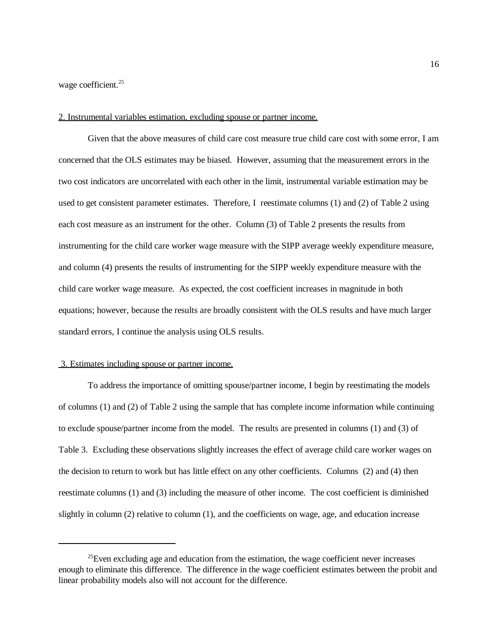wage coefficient.<sup>25</sup>

# 2. Instrumental variables estimation, excluding spouse or partner income.

Given that the above measures of child care cost measure true child care cost with some error, I am concerned that the OLS estimates may be biased. However, assuming that the measurement errors in the two cost indicators are uncorrelated with each other in the limit, instrumental variable estimation may be used to get consistent parameter estimates. Therefore, I reestimate columns (1) and (2) of Table 2 using each cost measure as an instrument for the other. Column (3) of Table 2 presents the results from instrumenting for the child care worker wage measure with the SIPP average weekly expenditure measure, and column (4) presents the results of instrumenting for the SIPP weekly expenditure measure with the child care worker wage measure. As expected, the cost coefficient increases in magnitude in both equations; however, because the results are broadly consistent with the OLS results and have much larger standard errors, I continue the analysis using OLS results.

#### 3. Estimates including spouse or partner income.

To address the importance of omitting spouse/partner income, I begin by reestimating the models of columns (1) and (2) of Table 2 using the sample that has complete income information while continuing to exclude spouse/partner income from the model. The results are presented in columns (1) and (3) of Table 3. Excluding these observations slightly increases the effect of average child care worker wages on the decision to return to work but has little effect on any other coefficients. Columns (2) and (4) then reestimate columns (1) and (3) including the measure of other income. The cost coefficient is diminished slightly in column (2) relative to column (1), and the coefficients on wage, age, and education increase

 $^{25}$ Even excluding age and education from the estimation, the wage coefficient never increases enough to eliminate this difference. The difference in the wage coefficient estimates between the probit and linear probability models also will not account for the difference.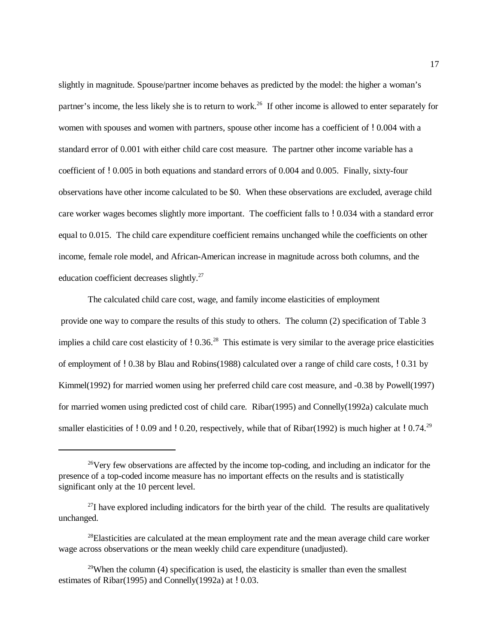slightly in magnitude. Spouse/partner income behaves as predicted by the model: the higher a woman's partner's income, the less likely she is to return to work.<sup>26</sup> If other income is allowed to enter separately for women with spouses and women with partners, spouse other income has a coefficient of ! 0.004 with a standard error of 0.001 with either child care cost measure. The partner other income variable has a coefficient of !0.005 in both equations and standard errors of 0.004 and 0.005. Finally, sixty-four observations have other income calculated to be \$0. When these observations are excluded, average child care worker wages becomes slightly more important. The coefficient falls to !0.034 with a standard error equal to 0.015. The child care expenditure coefficient remains unchanged while the coefficients on other income, female role model, and African-American increase in magnitude across both columns, and the education coefficient decreases slightly.<sup>27</sup>

The calculated child care cost, wage, and family income elasticities of employment provide one way to compare the results of this study to others. The column (2) specification of Table 3 implies a child care cost elasticity of  $10.36<sup>28</sup>$  This estimate is very similar to the average price elasticities of employment of !0.38 by Blau and Robins(1988) calculated over a range of child care costs, !0.31 by Kimmel(1992) for married women using her preferred child care cost measure, and -0.38 by Powell(1997) for married women using predicted cost of child care. Ribar(1995) and Connelly(1992a) calculate much smaller elasticities of ! 0.09 and ! 0.20, respectively, while that of Ribar(1992) is much higher at ! 0.74.<sup>29</sup>

 $26$  Very few observations are affected by the income top-coding, and including an indicator for the presence of a top-coded income measure has no important effects on the results and is statistically significant only at the 10 percent level.

 $^{27}$ I have explored including indicators for the birth year of the child. The results are qualitatively unchanged.

 $28$ Elasticities are calculated at the mean employment rate and the mean average child care worker wage across observations or the mean weekly child care expenditure (unadjusted).

<sup>&</sup>lt;sup>29</sup>When the column (4) specification is used, the elasticity is smaller than even the smallest estimates of Ribar(1995) and Connelly(1992a) at  $\mu$  0.03.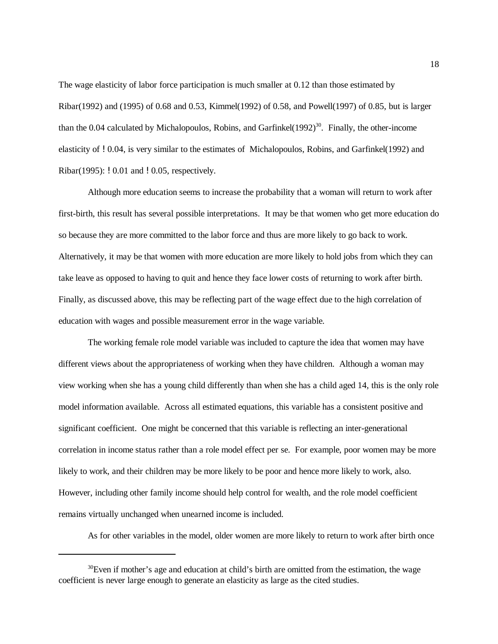The wage elasticity of labor force participation is much smaller at 0.12 than those estimated by Ribar(1992) and (1995) of 0.68 and 0.53, Kimmel(1992) of 0.58, and Powell(1997) of 0.85, but is larger than the 0.04 calculated by Michalopoulos, Robins, and Garfinkel $(1992)^{30}$ . Finally, the other-income elasticity of !0.04, is very similar to the estimates of Michalopoulos, Robins, and Garfinkel(1992) and Ribar(1995): ! 0.01 and ! 0.05, respectively.

Although more education seems to increase the probability that a woman will return to work after first-birth, this result has several possible interpretations. It may be that women who get more education do so because they are more committed to the labor force and thus are more likely to go back to work. Alternatively, it may be that women with more education are more likely to hold jobs from which they can take leave as opposed to having to quit and hence they face lower costs of returning to work after birth. Finally, as discussed above, this may be reflecting part of the wage effect due to the high correlation of education with wages and possible measurement error in the wage variable.

The working female role model variable was included to capture the idea that women may have different views about the appropriateness of working when they have children. Although a woman may view working when she has a young child differently than when she has a child aged 14, this is the only role model information available. Across all estimated equations, this variable has a consistent positive and significant coefficient. One might be concerned that this variable is reflecting an inter-generational correlation in income status rather than a role model effect per se. For example, poor women may be more likely to work, and their children may be more likely to be poor and hence more likely to work, also. However, including other family income should help control for wealth, and the role model coefficient remains virtually unchanged when unearned income is included.

As for other variables in the model, older women are more likely to return to work after birth once

 $^{30}$ Even if mother's age and education at child's birth are omitted from the estimation, the wage coefficient is never large enough to generate an elasticity as large as the cited studies.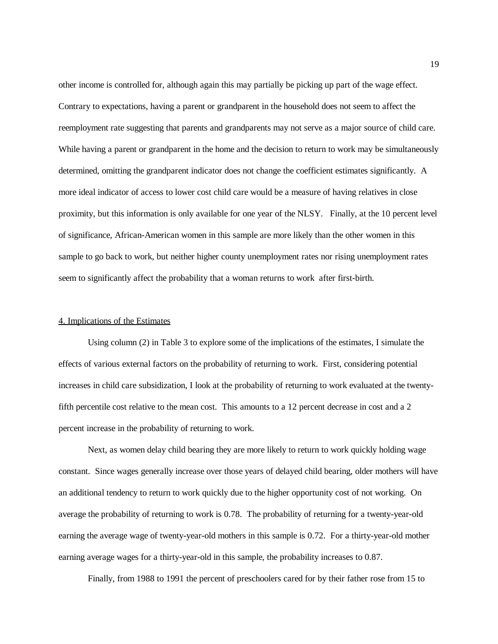other income is controlled for, although again this may partially be picking up part of the wage effect. Contrary to expectations, having a parent or grandparent in the household does not seem to affect the reemployment rate suggesting that parents and grandparents may not serve as a major source of child care. While having a parent or grandparent in the home and the decision to return to work may be simultaneously determined, omitting the grandparent indicator does not change the coefficient estimates significantly. A more ideal indicator of access to lower cost child care would be a measure of having relatives in close proximity, but this information is only available for one year of the NLSY. Finally, at the 10 percent level of significance, African-American women in this sample are more likely than the other women in this sample to go back to work, but neither higher county unemployment rates nor rising unemployment rates seem to significantly affect the probability that a woman returns to work after first-birth.

#### 4. Implications of the Estimates

Using column (2) in Table 3 to explore some of the implications of the estimates, I simulate the effects of various external factors on the probability of returning to work. First, considering potential increases in child care subsidization, I look at the probability of returning to work evaluated at the twentyfifth percentile cost relative to the mean cost. This amounts to a 12 percent decrease in cost and a 2 percent increase in the probability of returning to work.

Next, as women delay child bearing they are more likely to return to work quickly holding wage constant. Since wages generally increase over those years of delayed child bearing, older mothers will have an additional tendency to return to work quickly due to the higher opportunity cost of not working. On average the probability of returning to work is 0.78. The probability of returning for a twenty-year-old earning the average wage of twenty-year-old mothers in this sample is 0.72. For a thirty-year-old mother earning average wages for a thirty-year-old in this sample, the probability increases to 0.87.

Finally, from 1988 to 1991 the percent of preschoolers cared for by their father rose from 15 to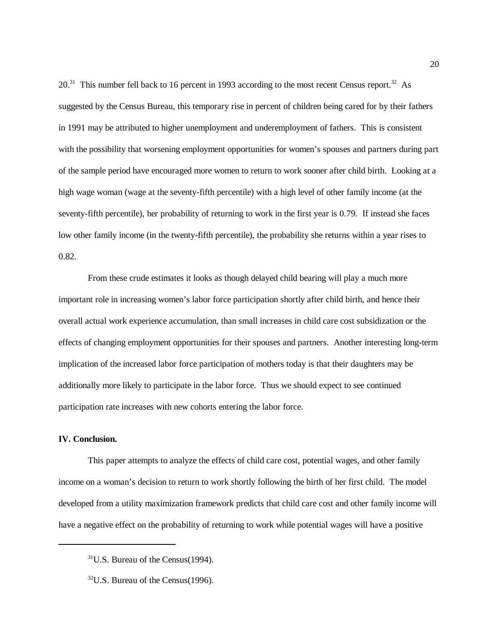$20<sup>31</sup>$  This number fell back to 16 percent in 1993 according to the most recent Census report.<sup>32</sup> As suggested by the Census Bureau, this temporary rise in percent of children being cared for by their fathers in 1991 may be attributed to higher unemployment and underemployment of fathers. This is consistent with the possibility that worsening employment opportunities for women's spouses and partners during part of the sample period have encouraged more women to return to work sooner after child birth. Looking at a high wage woman (wage at the seventy-fifth percentile) with a high level of other family income (at the seventy-fifth percentile), her probability of returning to work in the first year is 0.79. If instead she faces low other family income (in the twenty-fifth percentile), the probability she returns within a year rises to 0.82.

From these crude estimates it looks as though delayed child bearing will play a much more important role in increasing women's labor force participation shortly after child birth, and hence their overall actual work experience accumulation, than small increases in child care cost subsidization or the effects of changing employment opportunities for their spouses and partners. Another interesting long-term implication of the increased labor force participation of mothers today is that their daughters may be additionally more likely to participate in the labor force. Thus we should expect to see continued participation rate increases with new cohorts entering the labor force.

# **IV. Conclusion.**

This paper attempts to analyze the effects of child care cost, potential wages, and other family income on a woman's decision to return to work shortly following the birth of her first child. The model developed from a utility maximization framework predicts that child care cost and other family income will have a negative effect on the probability of returning to work while potential wages will have a positive

 $31$ U.S. Bureau of the Census(1994).

 $^{32}$ U.S. Bureau of the Census(1996).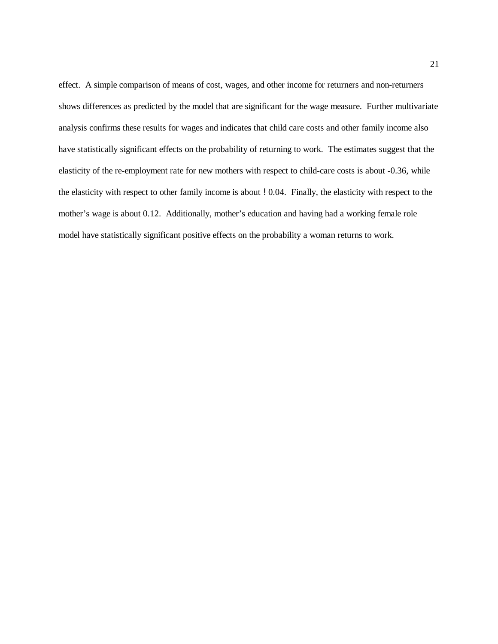effect. A simple comparison of means of cost, wages, and other income for returners and non-returners shows differences as predicted by the model that are significant for the wage measure. Further multivariate analysis confirms these results for wages and indicates that child care costs and other family income also have statistically significant effects on the probability of returning to work. The estimates suggest that the elasticity of the re-employment rate for new mothers with respect to child-care costs is about -0.36, while the elasticity with respect to other family income is about !0.04. Finally, the elasticity with respect to the mother's wage is about 0.12. Additionally, mother's education and having had a working female role model have statistically significant positive effects on the probability a woman returns to work.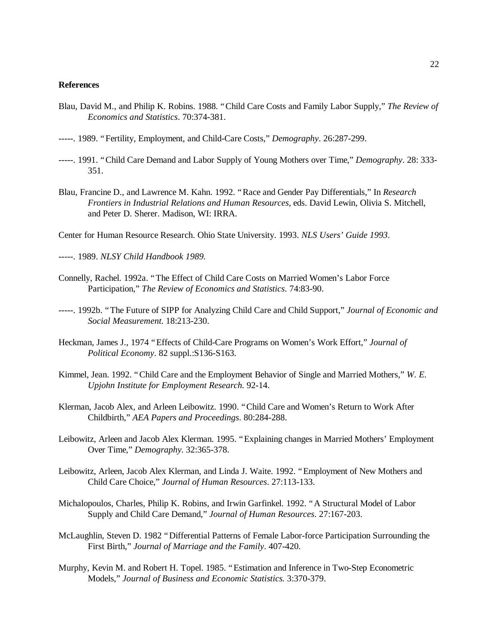# **References**

- Blau, David M., and Philip K. Robins. 1988. "Child Care Costs and Family Labor Supply," *The Review of Economics and Statistics*. 70:374-381.
- -----. 1989. "Fertility, Employment, and Child-Care Costs," *Demography*. 26:287-299.
- -----. 1991. "Child Care Demand and Labor Supply of Young Mothers over Time," *Demography*. 28: 333- 351.
- Blau, Francine D., and Lawrence M. Kahn. 1992. "Race and Gender Pay Differentials," In *Research Frontiers in Industrial Relations and Human Resources,* eds. David Lewin, Olivia S. Mitchell, and Peter D. Sherer. Madison, WI: IRRA.
- Center for Human Resource Research. Ohio State University. 1993. *NLS Users' Guide 1993*.
- -----. 1989. *NLSY Child Handbook 1989.*
- Connelly, Rachel. 1992a. "The Effect of Child Care Costs on Married Women's Labor Force Participation," *The Review of Economics and Statistics*. 74:83-90.
- -----. 1992b. "The Future of SIPP for Analyzing Child Care and Child Support," *Journal of Economic and Social Measurement.* 18:213-230.
- Heckman, James J., 1974 "Effects of Child-Care Programs on Women's Work Effort," *Journal of Political Economy*. 82 suppl.:S136-S163.
- Kimmel, Jean. 1992. "Child Care and the Employment Behavior of Single and Married Mothers," *W. E. Upjohn Institute for Employment Research.* 92-14.
- Klerman, Jacob Alex, and Arleen Leibowitz. 1990. "Child Care and Women's Return to Work After Childbirth," *AEA Papers and Proceedings*. 80:284-288.
- Leibowitz, Arleen and Jacob Alex Klerman. 1995. "Explaining changes in Married Mothers' Employment Over Time," *Demography.* 32:365-378.
- Leibowitz, Arleen, Jacob Alex Klerman, and Linda J. Waite. 1992. "Employment of New Mothers and Child Care Choice," *Journal of Human Resources*. 27:113-133.
- Michalopoulos, Charles, Philip K. Robins, and Irwin Garfinkel. 1992. "A Structural Model of Labor Supply and Child Care Demand," *Journal of Human Resources*. 27:167-203.
- McLaughlin, Steven D. 1982 "Differential Patterns of Female Labor-force Participation Surrounding the First Birth," *Journal of Marriage and the Family*. 407-420.
- Murphy, Kevin M. and Robert H. Topel. 1985. "Estimation and Inference in Two-Step Econometric Models," *Journal of Business and Economic Statistics.* 3:370-379.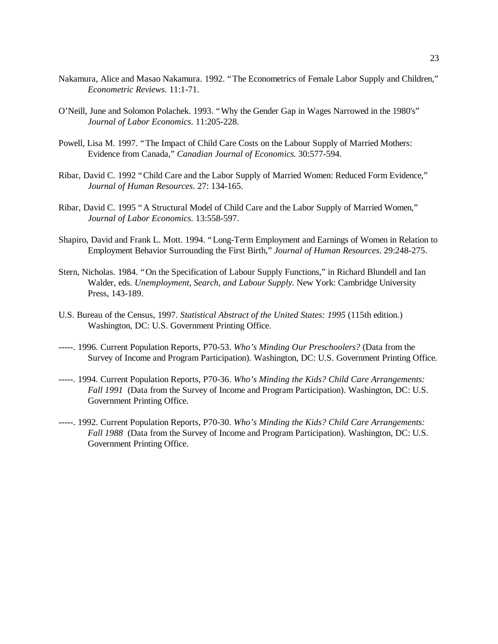- Nakamura, Alice and Masao Nakamura. 1992. "The Econometrics of Female Labor Supply and Children," *Econometric Reviews*. 11:1-71.
- O'Neill, June and Solomon Polachek. 1993. "Why the Gender Gap in Wages Narrowed in the 1980's" *Journal of Labor Economics*. 11:205-228.
- Powell, Lisa M. 1997. "The Impact of Child Care Costs on the Labour Supply of Married Mothers: Evidence from Canada," *Canadian Journal of Economics.* 30:577-594.
- Ribar, David C. 1992 "Child Care and the Labor Supply of Married Women: Reduced Form Evidence," *Journal of Human Resources*. 27: 134-165.
- Ribar, David C. 1995 "A Structural Model of Child Care and the Labor Supply of Married Women," *Journal of Labor Economics*. 13:558-597.
- Shapiro, David and Frank L. Mott. 1994. "Long-Term Employment and Earnings of Women in Relation to Employment Behavior Surrounding the First Birth," *Journal of Human Resources.* 29:248-275.
- Stern, Nicholas. 1984. "On the Specification of Labour Supply Functions," in Richard Blundell and Ian Walder, eds. *Unemployment, Search, and Labour Supply.* New York: Cambridge University Press, 143-189.
- U.S. Bureau of the Census, 1997. *Statistical Abstract of the United States: 1995* (115th edition.) Washington, DC: U.S. Government Printing Office.
- -----. 1996. Current Population Reports, P70-53. *Who's Minding Our Preschoolers?* (Data from the Survey of Income and Program Participation). Washington, DC: U.S. Government Printing Office.
- -----. 1994. Current Population Reports, P70-36. *Who's Minding the Kids? Child Care Arrangements: Fall 1991* (Data from the Survey of Income and Program Participation). Washington, DC: U.S. Government Printing Office.
- -----. 1992. Current Population Reports, P70-30. *Who's Minding the Kids? Child Care Arrangements: Fall 1988* (Data from the Survey of Income and Program Participation). Washington, DC: U.S. Government Printing Office.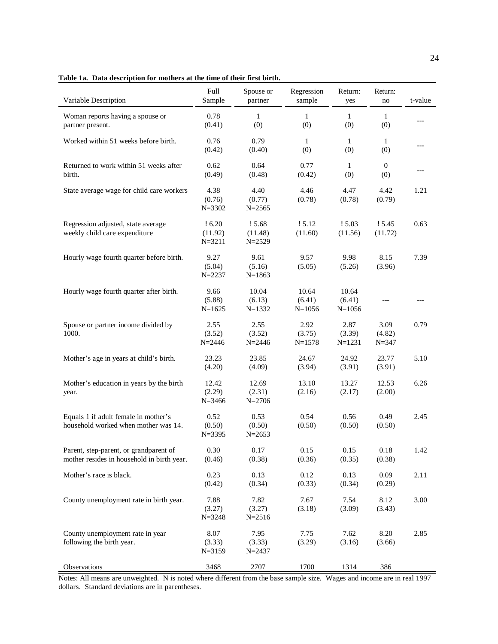|  |  |  |  | Table 1a. Data description for mothers at the time of their first birth. |  |  |  |
|--|--|--|--|--------------------------------------------------------------------------|--|--|--|
|--|--|--|--|--------------------------------------------------------------------------|--|--|--|

| Variable Description                                                                 | Full<br>Sample                 | Spouse or<br>partner            | Regression<br>sample          | Return:<br>yes                | Return:<br>no               | t-value |
|--------------------------------------------------------------------------------------|--------------------------------|---------------------------------|-------------------------------|-------------------------------|-----------------------------|---------|
| Woman reports having a spouse or<br>partner present.                                 | 0.78<br>(0.41)                 | $\mathbf{1}$<br>(0)             | $\mathbf{1}$<br>(0)           | $\mathbf{1}$<br>(0)           | $\mathbf{1}$<br>(0)         |         |
| Worked within 51 weeks before birth.                                                 | 0.76<br>(0.42)                 | 0.79<br>(0.40)                  | 1<br>(0)                      | 1<br>(0)                      | 1<br>(0)                    | $---$   |
| Returned to work within 51 weeks after<br>birth.                                     | 0.62<br>(0.49)                 | 0.64<br>(0.48)                  | 0.77<br>(0.42)                | $\mathbf{1}$<br>(0)           | $\overline{0}$<br>(0)       |         |
| State average wage for child care workers                                            | 4.38<br>(0.76)<br>$N = 3302$   | 4.40<br>(0.77)<br>$N = 2565$    | 4.46<br>(0.78)                | 4.47<br>(0.78)                | 4.42<br>(0.79)              | 1.21    |
| Regression adjusted, state average<br>weekly child care expenditure                  | !6.20<br>(11.92)<br>$N = 3211$ | ! 5.68<br>(11.48)<br>$N = 2529$ | ! 5.12<br>(11.60)             | 15.03<br>(11.56)              | 15.45<br>(11.72)            | 0.63    |
| Hourly wage fourth quarter before birth.                                             | 9.27<br>(5.04)<br>$N = 2237$   | 9.61<br>(5.16)<br>$N = 1863$    | 9.57<br>(5.05)                | 9.98<br>(5.26)                | 8.15<br>(3.96)              | 7.39    |
| Hourly wage fourth quarter after birth.                                              | 9.66<br>(5.88)<br>$N = 1625$   | 10.04<br>(6.13)<br>$N = 1332$   | 10.64<br>(6.41)<br>$N = 1056$ | 10.64<br>(6.41)<br>$N = 1056$ |                             | ---     |
| Spouse or partner income divided by<br>1000.                                         | 2.55<br>(3.52)<br>$N = 2446$   | 2.55<br>(3.52)<br>$N = 2446$    | 2.92<br>(3.75)<br>$N = 1578$  | 2.87<br>(3.39)<br>$N = 1231$  | 3.09<br>(4.82)<br>$N = 347$ | 0.79    |
| Mother's age in years at child's birth.                                              | 23.23<br>(4.20)                | 23.85<br>(4.09)                 | 24.67<br>(3.94)               | 24.92<br>(3.91)               | 23.77<br>(3.91)             | 5.10    |
| Mother's education in years by the birth<br>year.                                    | 12.42<br>(2.29)<br>$N = 3466$  | 12.69<br>(2.31)<br>$N = 2706$   | 13.10<br>(2.16)               | 13.27<br>(2.17)               | 12.53<br>(2.00)             | 6.26    |
| Equals 1 if adult female in mother's<br>household worked when mother was 14.         | 0.52<br>(0.50)<br>$N = 3395$   | 0.53<br>(0.50)<br>$N = 2653$    | 0.54<br>(0.50)                | 0.56<br>(0.50)                | 0.49<br>(0.50)              | 2.45    |
| Parent, step-parent, or grandparent of<br>mother resides in household in birth year. | 0.30<br>(0.46)                 | 0.17<br>(0.38)                  | 0.15<br>(0.36)                | 0.15<br>(0.35)                | 0.18<br>(0.38)              | 1.42    |
| Mother's race is black.                                                              | 0.23<br>(0.42)                 | 0.13<br>(0.34)                  | 0.12<br>(0.33)                | 0.13<br>(0.34)                | 0.09<br>(0.29)              | 2.11    |
| County unemployment rate in birth year.                                              | 7.88<br>(3.27)<br>$N = 3248$   | 7.82<br>(3.27)<br>$N = 2516$    | 7.67<br>(3.18)                | 7.54<br>(3.09)                | 8.12<br>(3.43)              | 3.00    |
| County unemployment rate in year<br>following the birth year.                        | 8.07<br>(3.33)<br>$N = 3159$   | 7.95<br>(3.33)<br>$N = 2437$    | 7.75<br>(3.29)                | 7.62<br>(3.16)                | 8.20<br>(3.66)              | 2.85    |
| Observations                                                                         | 3468                           | 2707                            | 1700                          | 1314                          | 386                         |         |

Notes: All means are unweighted. N is noted where different from the base sample size. Wages and income are in real 1997 dollars. Standard deviations are in parentheses.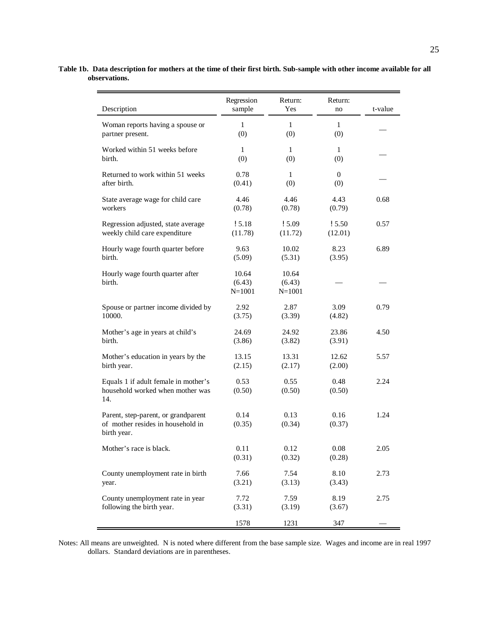|                                                  | Regression | Return:    | Return:      |         |
|--------------------------------------------------|------------|------------|--------------|---------|
| Description                                      | sample     | Yes        | no           | t-value |
| Woman reports having a spouse or                 | 1          | 1          | $\mathbf{1}$ |         |
| partner present.                                 | (0)        | (0)        | (0)          |         |
| Worked within 51 weeks before                    | 1          | 1          | 1            |         |
| birth.                                           | (0)        | (0)        | (0)          |         |
| Returned to work within 51 weeks                 | 0.78       | 1          | 0            |         |
| after birth.                                     | (0.41)     | (0)        | (0)          |         |
| State average wage for child care                | 4.46       | 4.46       | 4.43         | 0.68    |
| workers                                          | (0.78)     | (0.78)     | (0.79)       |         |
| Regression adjusted, state average               | ! 5.18     | 15.09      | ! 5.50       | 0.57    |
| weekly child care expenditure                    | (11.78)    | (11.72)    | (12.01)      |         |
| Hourly wage fourth quarter before                | 9.63       | 10.02      | 8.23         | 6.89    |
| birth.                                           | (5.09)     | (5.31)     | (3.95)       |         |
| Hourly wage fourth quarter after                 | 10.64      | 10.64      |              |         |
| birth.                                           | (6.43)     | (6.43)     |              |         |
|                                                  | $N = 1001$ | $N = 1001$ |              |         |
| Spouse or partner income divided by              | 2.92       | 2.87       | 3.09         | 0.79    |
| 10000.                                           | (3.75)     | (3.39)     | (4.82)       |         |
| Mother's age in years at child's                 | 24.69      | 24.92      | 23.86        | 4.50    |
| birth.                                           | (3.86)     | (3.82)     | (3.91)       |         |
| Mother's education in years by the               | 13.15      | 13.31      | 12.62        | 5.57    |
| birth year.                                      | (2.15)     | (2.17)     | (2.00)       |         |
| Equals 1 if adult female in mother's             | 0.53       | 0.55       | 0.48         | 2.24    |
| household worked when mother was                 | (0.50)     | (0.50)     | (0.50)       |         |
| 14.                                              |            |            |              |         |
| Parent, step-parent, or grandparent              | 0.14       | 0.13       | 0.16         | 1.24    |
| of mother resides in household in<br>birth year. | (0.35)     | (0.34)     | (0.37)       |         |
|                                                  |            |            |              |         |
| Mother's race is black.                          | 0.11       | 0.12       | 0.08         | 2.05    |
|                                                  | (0.31)     | (0.32)     | (0.28)       |         |
| County unemployment rate in birth                | 7.66       | 7.54       | 8.10         | 2.73    |
| year.                                            | (3.21)     | (3.13)     | (3.43)       |         |
| County unemployment rate in year                 | 7.72       | 7.59       | 8.19         | 2.75    |
| following the birth year.                        | (3.31)     | (3.19)     | (3.67)       |         |
|                                                  | 1578       | 1231       | 347          |         |

**Table 1b. Data description for mothers at the time of their first birth. Sub-sample with other income available for all observations.**

Notes: All means are unweighted. N is noted where different from the base sample size. Wages and income are in real 1997 dollars. Standard deviations are in parentheses.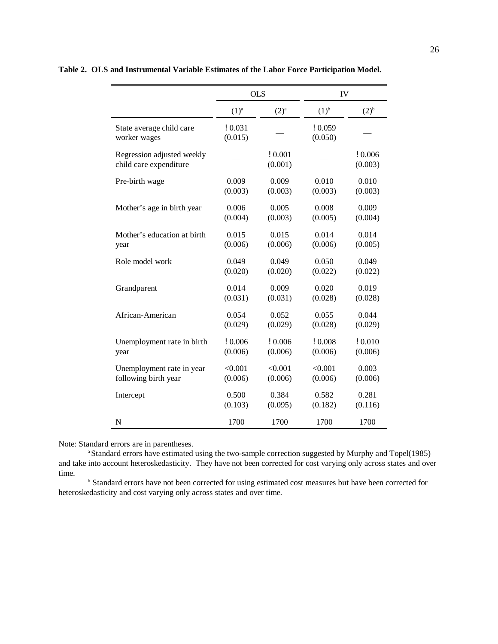|                                                      | <b>OLS</b>         |                   |                    | IV                |  |
|------------------------------------------------------|--------------------|-------------------|--------------------|-------------------|--|
|                                                      | $(1)^a$            | $(2)^{a}$         | $(1)^{b}$          | $(2)^{b}$         |  |
| State average child care<br>worker wages             | ! 0.031<br>(0.015) |                   | ! 0.059<br>(0.050) |                   |  |
| Regression adjusted weekly<br>child care expenditure |                    | !0.001<br>(0.001) |                    | !0.006<br>(0.003) |  |
| Pre-birth wage                                       | 0.009              | 0.009             | 0.010              | 0.010             |  |
|                                                      | (0.003)            | (0.003)           | (0.003)            | (0.003)           |  |
| Mother's age in birth year                           | 0.006              | 0.005             | 0.008              | 0.009             |  |
|                                                      | (0.004)            | (0.003)           | (0.005)            | (0.004)           |  |
| Mother's education at birth                          | 0.015              | 0.015             | 0.014              | 0.014             |  |
| year                                                 | (0.006)            | (0.006)           | (0.006)            | (0.005)           |  |
| Role model work                                      | 0.049              | 0.049             | 0.050              | 0.049             |  |
|                                                      | (0.020)            | (0.020)           | (0.022)            | (0.022)           |  |
| Grandparent                                          | 0.014              | 0.009             | 0.020              | 0.019             |  |
|                                                      | (0.031)            | (0.031)           | (0.028)            | (0.028)           |  |
| African-American                                     | 0.054              | 0.052             | 0.055              | 0.044             |  |
|                                                      | (0.029)            | (0.029)           | (0.028)            | (0.029)           |  |
| Unemployment rate in birth                           | !0.006             | !0.006            | !0.008             | !0.010            |  |
| year                                                 | (0.006)            | (0.006)           | (0.006)            | (0.006)           |  |
| Unemployment rate in year                            | < 0.001            | < 0.001           | < 0.001            | 0.003             |  |
| following birth year                                 | (0.006)            | (0.006)           | (0.006)            | (0.006)           |  |
| Intercept                                            | 0.500              | 0.384             | 0.582              | 0.281             |  |
|                                                      | (0.103)            | (0.095)           | (0.182)            | (0.116)           |  |
| N                                                    | 1700               | 1700              | 1700               | 1700              |  |

**Table 2. OLS and Instrumental Variable Estimates of the Labor Force Participation Model.**

Note: Standard errors are in parentheses.

<sup>a</sup> Standard errors have estimated using the two-sample correction suggested by Murphy and Topel(1985) and take into account heteroskedasticity. They have not been corrected for cost varying only across states and over time.

**b** Standard errors have not been corrected for using estimated cost measures but have been corrected for heteroskedasticity and cost varying only across states and over time.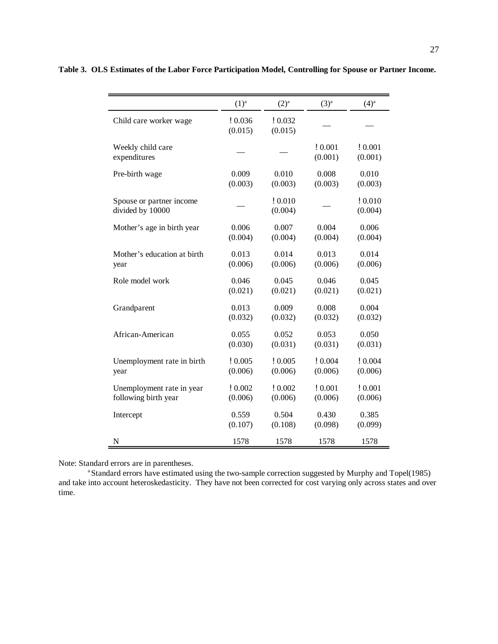|                                              | $(1)^a$           | $(2)^{a}$          | (3) <sup>a</sup>  | $(4)^{a}$          |
|----------------------------------------------|-------------------|--------------------|-------------------|--------------------|
| Child care worker wage                       | !0.036<br>(0.015) | ! 0.032<br>(0.015) |                   |                    |
| Weekly child care<br>expenditures            |                   |                    | !0.001<br>(0.001) | !0.001<br>(0.001)  |
| Pre-birth wage                               | 0.009             | 0.010              | 0.008             | 0.010              |
|                                              | (0.003)           | (0.003)            | (0.003)           | (0.003)            |
| Spouse or partner income<br>divided by 10000 |                   | ! 0.010<br>(0.004) |                   | ! 0.010<br>(0.004) |
| Mother's age in birth year                   | 0.006             | 0.007              | 0.004             | 0.006              |
|                                              | (0.004)           | (0.004)            | (0.004)           | (0.004)            |
| Mother's education at birth                  | 0.013             | 0.014              | 0.013             | 0.014              |
| year                                         | (0.006)           | (0.006)            | (0.006)           | (0.006)            |
| Role model work                              | 0.046             | 0.045              | 0.046             | 0.045              |
|                                              | (0.021)           | (0.021)            | (0.021)           | (0.021)            |
| Grandparent                                  | 0.013             | 0.009              | 0.008             | 0.004              |
|                                              | (0.032)           | (0.032)            | (0.032)           | (0.032)            |
| African-American                             | 0.055             | 0.052              | 0.053             | 0.050              |
|                                              | (0.030)           | (0.031)            | (0.031)           | (0.031)            |
| Unemployment rate in birth                   | !0.005            | ! 0.005            | ! 0.004           | ! 0.004            |
| year                                         | (0.006)           | (0.006)            | (0.006)           | (0.006)            |
| Unemployment rate in year                    | !0.002            | ! 0.002            | ! 0.001           | ! 0.001            |
| following birth year                         | (0.006)           | (0.006)            | (0.006)           | (0.006)            |
| Intercept                                    | 0.559             | 0.504              | 0.430             | 0.385              |
|                                              | (0.107)           | (0.108)            | (0.098)           | (0.099)            |
| N                                            | 1578              | 1578               | 1578              | 1578               |

**Table 3. OLS Estimates of the Labor Force Participation Model, Controlling for Spouse or Partner Income.**

Note: Standard errors are in parentheses.

<sup>a</sup> Standard errors have estimated using the two-sample correction suggested by Murphy and Topel(1985) and take into account heteroskedasticity. They have not been corrected for cost varying only across states and over time.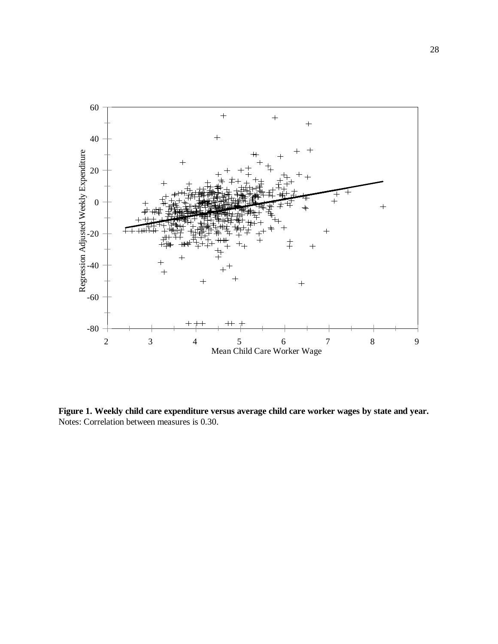

**Figure 1. Weekly child care expenditure versus average child care worker wages by state and year.** Notes: Correlation between measures is 0.30.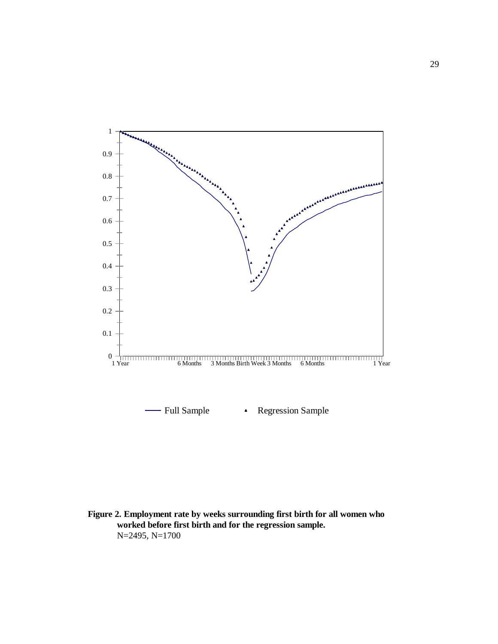

**Figure 2. Employment rate by weeks surrounding first birth for all women who worked before first birth and for the regression sample.** N=2495, N=1700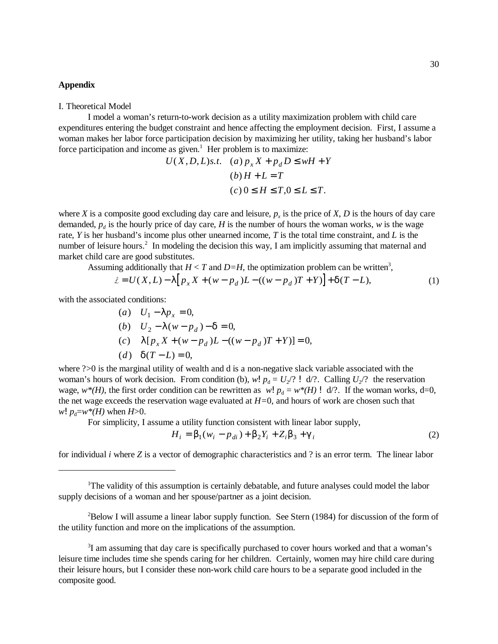### **Appendix**

#### I. Theoretical Model

I model a woman's return-to-work decision as a utility maximization problem with child care expenditures entering the budget constraint and hence affecting the employment decision. First, I assume a woman makes her labor force participation decision by maximizing her utility, taking her husband's labor force participation and income as given.<sup>1</sup> Her problem is to maximize:

$$
U(X, D, L)s.t. \quad (a) p_x X + p_d D \le wH + Y
$$

$$
(b) H + L = T
$$

$$
(c) 0 \le H \le T, 0 \le L \le T.
$$

where *X* is a composite good excluding day care and leisure,  $p_x$  is the price of *X*, *D* is the hours of day care demanded,  $p_d$  is the hourly price of day care, *H* is the number of hours the woman works, *w* is the wage rate, *Y* is her husband's income plus other unearned income, *T* is the total time constraint, and *L* is the number of leisure hours.<sup>2</sup> In modeling the decision this way, I am implicitly assuming that maternal and market child care are good substitutes.

Assuming additionally that  $H < T$  and  $D=H$ , the optimization problem can be written<sup>3</sup>,

$$
\mathcal{L} = U(X, L) - I \left[ p_x X + (w - p_d) L - ((w - p_d) T + Y) \right] + c T - L),
$$
\n(1)

with the associated conditions:

*a U p*

(a) 
$$
U_1 - I p_x = 0
$$
,  
\n(b)  $U_2 - I (w - p_d) - d = 0$ ,  
\n(c)  $I [p_x X + (w - p_d) L - ((w - p_d) T + Y)] = 0$ ,  
\n(d)  $dT - L = 0$ ,

where  $\frac{?}{0}$  is the marginal utility of wealth and d is a non-negative slack variable associated with the woman's hours of work decision. From condition (b),  $w! p_d = U_2$ ? ! d/?. Calling  $U_2$ ? the reservation wage,  $w^*(H)$ , the first order condition can be rewritten as  $w! p_d = w^*(H)! d$ . If the woman works, d=0, the net wage exceeds the reservation wage evaluated at *H=*0, and hours of work are chosen such that  $w! p_d = w^*(H)$  when *H*>0.

For simplicity, I assume a utility function consistent with linear labor supply,

$$
H_i = \boldsymbol{b}_1 (w_i - p_{di}) + \boldsymbol{b}_2 Y_i + Z_i \boldsymbol{b}_3 + \boldsymbol{g}_i
$$
 (2)

for individual *i* where *Z* is a vector of demographic characteristics and ? is an error term. The linear labor

 $B^2$ Below I will assume a linear labor supply function. See Stern (1984) for discussion of the form of the utility function and more on the implications of the assumption.

 $3$ I am assuming that day care is specifically purchased to cover hours worked and that a woman's leisure time includes time she spends caring for her children. Certainly, women may hire child care during their leisure hours, but I consider these non-work child care hours to be a separate good included in the composite good.

 $T$ The validity of this assumption is certainly debatable, and future analyses could model the labor supply decisions of a woman and her spouse/partner as a joint decision.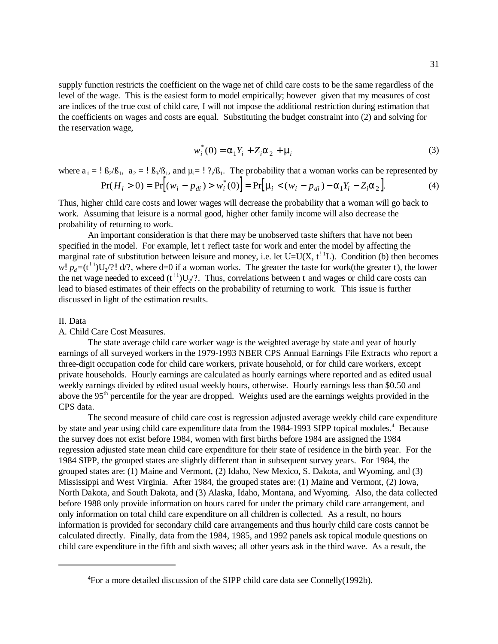supply function restricts the coefficient on the wage net of child care costs to be the same regardless of the level of the wage. This is the easiest form to model empirically; however given that my measures of cost are indices of the true cost of child care, I will not impose the additional restriction during estimation that the coefficients on wages and costs are equal. Substituting the budget constraint into (2) and solving for the reservation wage,

$$
w_i^*(0) = a_1 Y_i + Z_i a_2 + m_i
$$
 (3)

where  $a_1 = \frac{1}{2} B_2 / B_1$ ,  $a_2 = \frac{1}{2} B_3 / B_1$ , and  $\mu_i = \frac{1}{2} B_i / B_1$ . The probability that a woman works can be represented by

$$
Pr(H_i > 0) = Pr[(w_i - p_{di}) > w_i^*(0)] = Pr[m_i < (w_i - p_{di}) - a_1Y_i - Z_i a_2].
$$
 (4)

Thus, higher child care costs and lower wages will decrease the probability that a woman will go back to work. Assuming that leisure is a normal good, higher other family income will also decrease the probability of returning to work.

An important consideration is that there may be unobserved taste shifters that have not been specified in the model. For example, let t reflect taste for work and enter the model by affecting the marginal rate of substitution between leisure and money, i.e. let  $U=U(X, t<sup>1</sup>L)$ . Condition (b) then becomes  $w! p_d = (t^{11}) U_2$ ?! d/?, where d=0 if a woman works. The greater the taste for work(the greater t), the lower the net wage needed to exceed  $(t<sup>11</sup>)U<sub>2</sub>/?$ . Thus, correlations between t and wages or child care costs can lead to biased estimates of their effects on the probability of returning to work. This issue is further discussed in light of the estimation results.

#### II. Data

# A. Child Care Cost Measures.

The state average child care worker wage is the weighted average by state and year of hourly earnings of all surveyed workers in the 1979-1993 NBER CPS Annual Earnings File Extracts who report a three-digit occupation code for child care workers, private household, or for child care workers, except private households. Hourly earnings are calculated as hourly earnings where reported and as edited usual weekly earnings divided by edited usual weekly hours, otherwise. Hourly earnings less than \$0.50 and above the 95<sup>th</sup> percentile for the year are dropped. Weights used are the earnings weights provided in the CPS data.

The second measure of child care cost is regression adjusted average weekly child care expenditure by state and year using child care expenditure data from the 1984-1993 SIPP topical modules.<sup>4</sup> Because the survey does not exist before 1984, women with first births before 1984 are assigned the 1984 regression adjusted state mean child care expenditure for their state of residence in the birth year. For the 1984 SIPP, the grouped states are slightly different than in subsequent survey years. For 1984, the grouped states are: (1) Maine and Vermont, (2) Idaho, New Mexico, S. Dakota, and Wyoming, and (3) Mississippi and West Virginia. After 1984, the grouped states are: (1) Maine and Vermont, (2) Iowa, North Dakota, and South Dakota, and (3) Alaska, Idaho, Montana, and Wyoming. Also, the data collected before 1988 only provide information on hours cared for under the primary child care arrangement, and only information on total child care expenditure on all children is collected. As a result, no hours information is provided for secondary child care arrangements and thus hourly child care costs cannot be calculated directly. Finally, data from the 1984, 1985, and 1992 panels ask topical module questions on child care expenditure in the fifth and sixth waves; all other years ask in the third wave. As a result, the

For a more detailed discussion of the SIPP child care data see Connelly(1992b). <sup>4</sup>